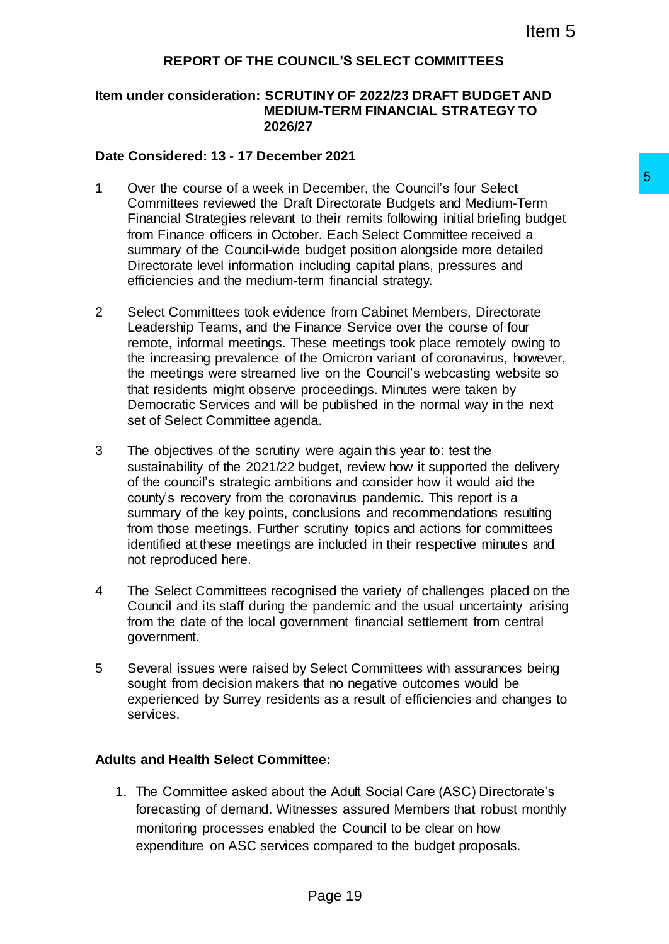### **REPORT OF THE COUNCIL'S SELECT COMMITTEES**

#### **Item under consideration: SCRUTINY OF 2022/23 DRAFT BUDGET AND MEDIUM-TERM FINANCIAL STRATEGY TO 2026/27**

#### **Date Considered: 13 - 17 December 2021**

- 1 Over the course of a week in December, the Council's four Select Committees reviewed the Draft Directorate Budgets and Medium-Term Financial Strategies relevant to their remits following initial briefing budget from Finance officers in October. Each Select Committee received a summary of the Council-wide budget position alongside more detailed Directorate level information including capital plans, pressures and efficiencies and the medium-term financial strategy.
- 2 Select Committees took evidence from Cabinet Members, Directorate Leadership Teams, and the Finance Service over the course of four remote, informal meetings. These meetings took place remotely owing to the increasing prevalence of the Omicron variant of coronavirus, however, the meetings were streamed live on the Council's webcasting website so that residents might observe proceedings. Minutes were taken by Democratic Services and will be published in the normal way in the next set of Select Committee agenda. December, the Council's four Select<br>
16 Directorate Budgets and Medium-Term<br>
16 brief remits following initial briefing budget<br>
the rest Each Select Committee received a<br>
coudget position alongside more detailed<br>
cluding c
- 3 The objectives of the scrutiny were again this year to: test the sustainability of the 2021/22 budget, review how it supported the delivery of the council's strategic ambitions and consider how it would aid the county's recovery from the coronavirus pandemic. This report is a summary of the key points, conclusions and recommendations resulting from those meetings. Further scrutiny topics and actions for committees identified at these meetings are included in their respective minutes and not reproduced here.
- 4 The Select Committees recognised the variety of challenges placed on the Council and its staff during the pandemic and the usual uncertainty arising from the date of the local government financial settlement from central government.
- 5 Several issues were raised by Select Committees with assurances being sought from decision makers that no negative outcomes would be experienced by Surrey residents as a result of efficiencies and changes to services.

#### **Adults and Health Select Committee:**

1. The Committee asked about the Adult Social Care (ASC) Directorate's forecasting of demand. Witnesses assured Members that robust monthly monitoring processes enabled the Council to be clear on how expenditure on ASC services compared to the budget proposals.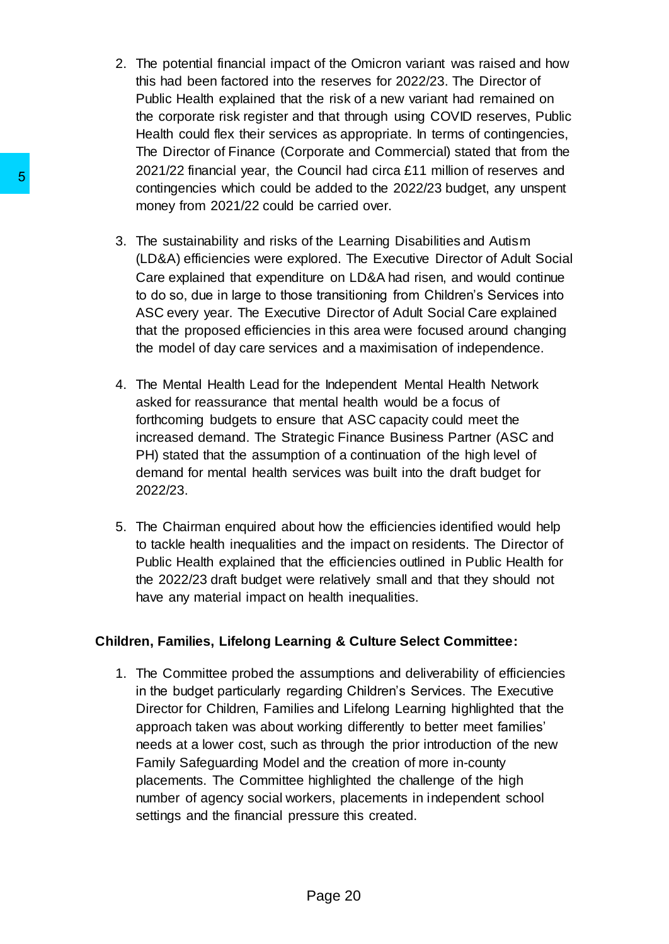- 2. The potential financial impact of the Omicron variant was raised and how this had been factored into the reserves for 2022/23. The Director of Public Health explained that the risk of a new variant had remained on the corporate risk register and that through using COVID reserves, Public Health could flex their services as appropriate. In terms of contingencies, The Director of Finance (Corporate and Commercial) stated that from the 2021/22 financial year, the Council had circa £11 million of reserves and contingencies which could be added to the 2022/23 budget, any unspent money from 2021/22 could be carried over.
- 3. The sustainability and risks of the Learning Disabilities and Autism (LD&A) efficiencies were explored. The Executive Director of Adult Social Care explained that expenditure on LD&A had risen, and would continue to do so, due in large to those transitioning from Children's Services into ASC every year. The Executive Director of Adult Social Care explained that the proposed efficiencies in this area were focused around changing the model of day care services and a maximisation of independence.
- 4. The Mental Health Lead for the Independent Mental Health Network asked for reassurance that mental health would be a focus of forthcoming budgets to ensure that ASC capacity could meet the increased demand. The Strategic Finance Business Partner (ASC and PH) stated that the assumption of a continuation of the high level of demand for mental health services was built into the draft budget for 2022/23.
- 5. The Chairman enquired about how the efficiencies identified would help to tackle health inequalities and the impact on residents. The Director of Public Health explained that the efficiencies outlined in Public Health for the 2022/23 draft budget were relatively small and that they should not have any material impact on health inequalities.

# **Children, Families, Lifelong Learning & Culture Select Committee:**

1. The Committee probed the assumptions and deliverability of efficiencies in the budget particularly regarding Children's Services. The Executive Director for Children, Families and Lifelong Learning highlighted that the approach taken was about working differently to better meet families' needs at a lower cost, such as through the prior introduction of the new Family Safeguarding Model and the creation of more in-county placements. The Committee highlighted the challenge of the high number of agency social workers, placements in independent school settings and the financial pressure this created. 5<br>
somatingencies which could be added to money from 2021/22 could be added to money from 2021/22 could be carried<br>
3. The sustainability and risks of the Lea<br>
(LD&A) efficiencies were explored. The<br>
care explained that ex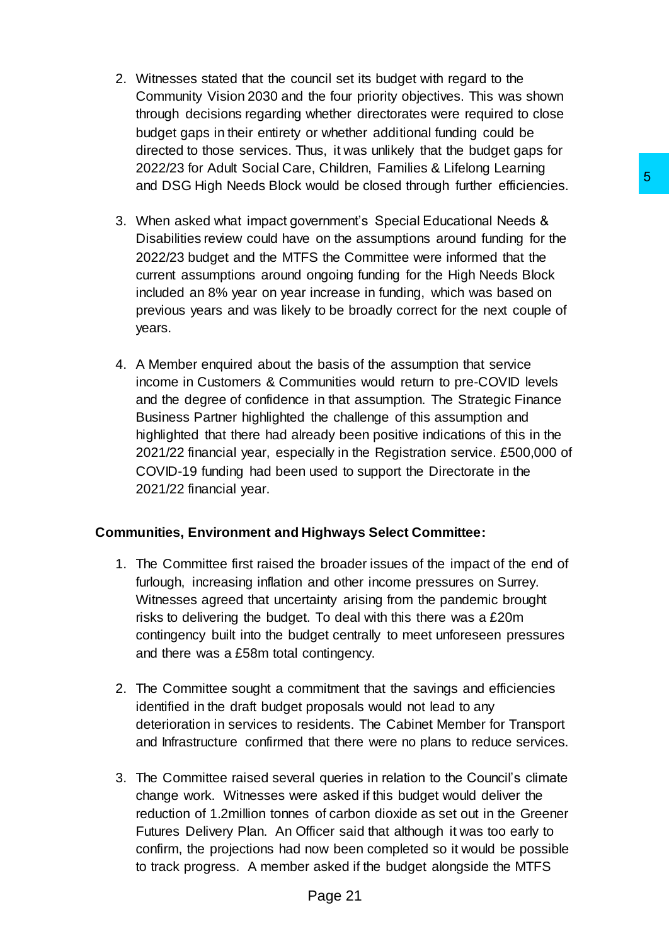- 2. Witnesses stated that the council set its budget with regard to the Community Vision 2030 and the four priority objectives. This was shown through decisions regarding whether directorates were required to close budget gaps in their entirety or whether additional funding could be directed to those services. Thus, it was unlikely that the budget gaps for 2022/23 for Adult Social Care, Children, Families & Lifelong Learning and DSG High Needs Block would be closed through further efficiencies.
- 3. When asked what impact government's Special Educational Needs & Disabilities review could have on the assumptions around funding for the 2022/23 budget and the MTFS the Committee were informed that the current assumptions around ongoing funding for the High Needs Block included an 8% year on year increase in funding, which was based on previous years and was likely to be broadly correct for the next couple of years.
- 4. A Member enquired about the basis of the assumption that service income in Customers & Communities would return to pre-COVID levels and the degree of confidence in that assumption. The Strategic Finance Business Partner highlighted the challenge of this assumption and highlighted that there had already been positive indications of this in the 2021/22 financial year, especially in the Registration service. £500,000 of COVID-19 funding had been used to support the Directorate in the 2021/22 financial year. isomotion to consider the sample of the Caster Caster Caster Caster Caster Caster Theorem and the committee were informed that the Street Committee were informed that the Smogning funding for the High Needs Block increase

# **Communities, Environment and Highways Select Committee:**

- 1. The Committee first raised the broader issues of the impact of the end of furlough, increasing inflation and other income pressures on Surrey. Witnesses agreed that uncertainty arising from the pandemic brought risks to delivering the budget. To deal with this there was a £20m contingency built into the budget centrally to meet unforeseen pressures and there was a £58m total contingency.
- 2. The Committee sought a commitment that the savings and efficiencies identified in the draft budget proposals would not lead to any deterioration in services to residents. The Cabinet Member for Transport and Infrastructure confirmed that there were no plans to reduce services.
- 3. The Committee raised several queries in relation to the Council's climate change work. Witnesses were asked if this budget would deliver the reduction of 1.2million tonnes of carbon dioxide as set out in the Greener Futures Delivery Plan. An Officer said that although it was too early to confirm, the projections had now been completed so it would be possible to track progress. A member asked if the budget alongside the MTFS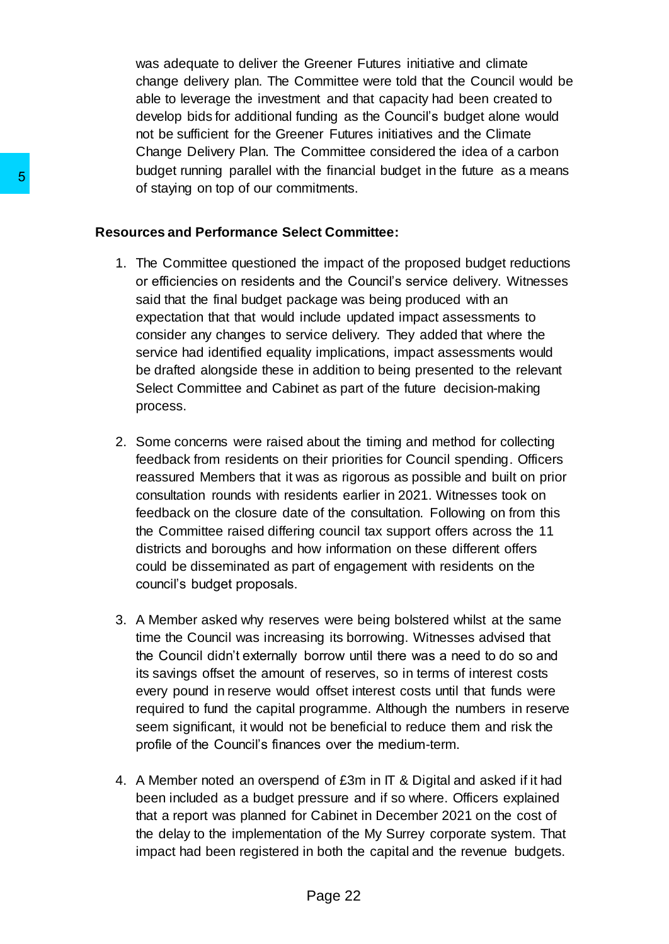was adequate to deliver the Greener Futures initiative and climate change delivery plan. The Committee were told that the Council would be able to leverage the investment and that capacity had been created to develop bids for additional funding as the Council's budget alone would not be sufficient for the Greener Futures initiatives and the Climate Change Delivery Plan. The Committee considered the idea of a carbon budget running parallel with the financial budget in the future as a means of staying on top of our commitments.

#### **Resources and Performance Select Committee:**

- 1. The Committee questioned the impact of the proposed budget reductions or efficiencies on residents and the Council's service delivery. Witnesses said that the final budget package was being produced with an expectation that that would include updated impact assessments to consider any changes to service delivery. They added that where the service had identified equality implications, impact assessments would be drafted alongside these in addition to being presented to the relevant Select Committee and Cabinet as part of the future decision-making process. 5<br>
Subset turning paramet war as mature<br>
of staying on top of our committensis.<br>
Resources and Performance Select Comm<br>
1. The Committee questioned the impact<br>
said that the final budget package was<br>
expectation that that
	- 2. Some concerns were raised about the timing and method for collecting feedback from residents on their priorities for Council spending. Officers reassured Members that it was as rigorous as possible and built on prior consultation rounds with residents earlier in 2021. Witnesses took on feedback on the closure date of the consultation. Following on from this the Committee raised differing council tax support offers across the 11 districts and boroughs and how information on these different offers could be disseminated as part of engagement with residents on the council's budget proposals.
	- 3. A Member asked why reserves were being bolstered whilst at the same time the Council was increasing its borrowing. Witnesses advised that the Council didn't externally borrow until there was a need to do so and its savings offset the amount of reserves, so in terms of interest costs every pound in reserve would offset interest costs until that funds were required to fund the capital programme. Although the numbers in reserve seem significant, it would not be beneficial to reduce them and risk the profile of the Council's finances over the medium-term.
	- 4. A Member noted an overspend of £3m in IT & Digital and asked if it had been included as a budget pressure and if so where. Officers explained that a report was planned for Cabinet in December 2021 on the cost of the delay to the implementation of the My Surrey corporate system. That impact had been registered in both the capital and the revenue budgets.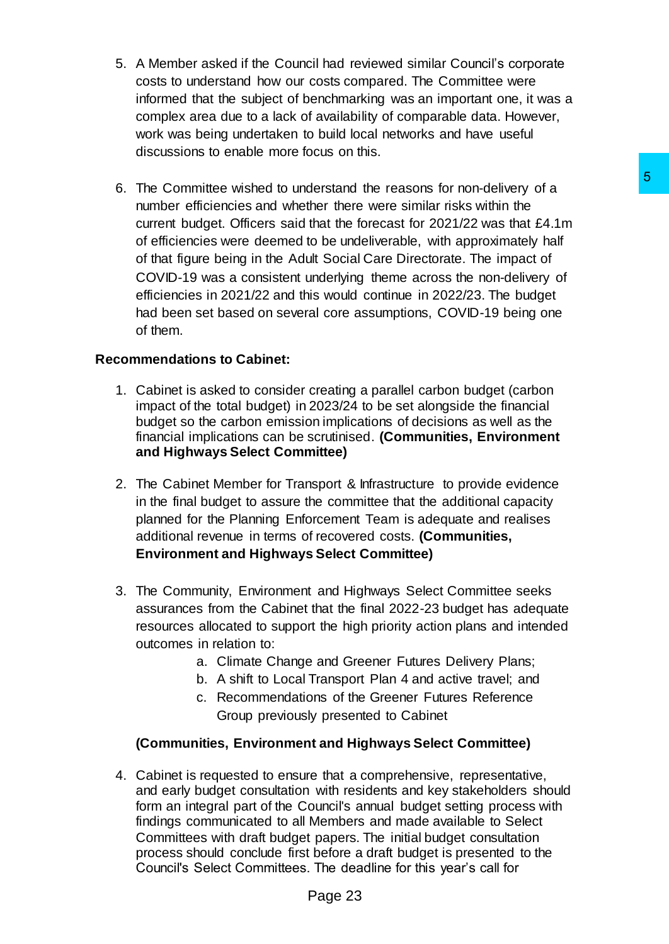- 5. A Member asked if the Council had reviewed similar Council's corporate costs to understand how our costs compared. The Committee were informed that the subject of benchmarking was an important one, it was a complex area due to a lack of availability of comparable data. However, work was being undertaken to build local networks and have useful discussions to enable more focus on this.
- 6. The Committee wished to understand the reasons for non-delivery of a number efficiencies and whether there were similar risks within the current budget. Officers said that the forecast for 2021/22 was that £4.1m of efficiencies were deemed to be undeliverable, with approximately half of that figure being in the Adult Social Care Directorate. The impact of COVID-19 was a consistent underlying theme across the non-delivery of efficiencies in 2021/22 and this would continue in 2022/23. The budget had been set based on several core assumptions, COVID-19 being one of them. derstand the reasons for non-delivery of a<br>ther there were similar risks within the<br>that the forecast for 2021/22 was that £4.1m<br>that the forecast for 2021/22 was that £4.1m<br>alt and consider the more areas the non-delivery

# **Recommendations to Cabinet:**

- 1. Cabinet is asked to consider creating a parallel carbon budget (carbon impact of the total budget) in 2023/24 to be set alongside the financial budget so the carbon emission implications of decisions as well as the financial implications can be scrutinised. **(Communities, Environment and Highways Select Committee)**
- 2. The Cabinet Member for Transport & Infrastructure to provide evidence in the final budget to assure the committee that the additional capacity planned for the Planning Enforcement Team is adequate and realises additional revenue in terms of recovered costs. **(Communities, Environment and Highways Select Committee)**
- 3. The Community, Environment and Highways Select Committee seeks assurances from the Cabinet that the final 2022-23 budget has adequate resources allocated to support the high priority action plans and intended outcomes in relation to:
	- a. Climate Change and Greener Futures Delivery Plans;
	- b. A shift to Local Transport Plan 4 and active travel; and
	- c. Recommendations of the Greener Futures Reference Group previously presented to Cabinet

# **(Communities, Environment and Highways Select Committee)**

4. Cabinet is requested to ensure that a comprehensive, representative, and early budget consultation with residents and key stakeholders should form an integral part of the Council's annual budget setting process with findings communicated to all Members and made available to Select Committees with draft budget papers. The initial budget consultation process should conclude first before a draft budget is presented to the Council's Select Committees. The deadline for this year's call for